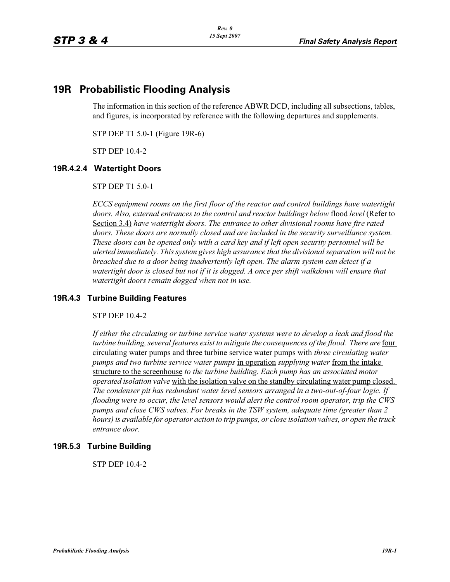# **19R Probabilistic Flooding Analysis**

The information in this section of the reference ABWR DCD, including all subsections, tables, and figures, is incorporated by reference with the following departures and supplements.

STP DEP T1 5.0-1 (Figure 19R-6)

STP DEP 10.4-2

#### **19R.4.2.4 Watertight Doors**

STP DEP T1 5.0-1

*ECCS equipment rooms on the first floor of the reactor and control buildings have watertight doors. Also, external entrances to the control and reactor buildings below* flood *level* (Refer to Section 3.4) *have watertight doors. The entrance to other divisional rooms have fire rated doors. These doors are normally closed and are included in the security surveillance system. These doors can be opened only with a card key and if left open security personnel will be alerted immediately. This system gives high assurance that the divisional separation will not be breached due to a door being inadvertently left open. The alarm system can detect if a*  watertight door is closed but not if it is dogged. A once per shift walkdown will ensure that *watertight doors remain dogged when not in use.*

#### **19R.4.3 Turbine Building Features**

STP DEP 10.4-2

*If either the circulating or turbine service water systems were to develop a leak and flood the turbine building, several features exist to mitigate the consequences of the flood. There are* four circulating water pumps and three turbine service water pumps with *three circulating water pumps and two turbine service water pumps* in operation *supplying water* from the intake structure to the screenhouse *to the turbine building. Each pump has an associated motor operated isolation valve* with the isolation valve on the standby circulating water pump closed. *The condenser pit has redundant water level sensors arranged in a two-out-of-four logic. If flooding were to occur, the level sensors would alert the control room operator, trip the CWS pumps and close CWS valves. For breaks in the TSW system, adequate time (greater than 2 hours) is available for operator action to trip pumps, or close isolation valves, or open the truck entrance door.*

#### **19R.5.3 Turbine Building**

STP DEP 10.4-2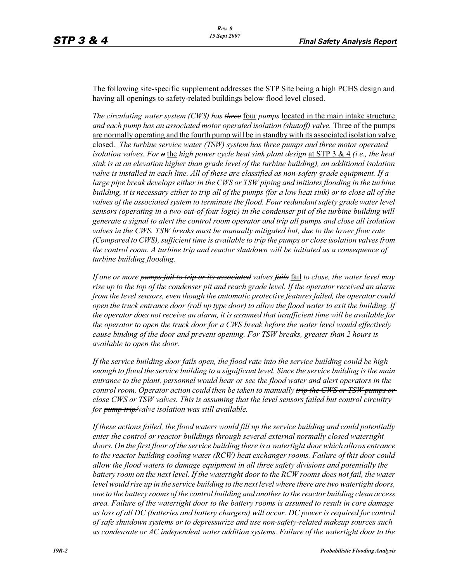The following site-specific supplement addresses the STP Site being a high PCHS design and having all openings to safety-related buildings below flood level closed.

*The circulating water system (CWS) has three* four *pumps* located in the main intake structure *and each pump has an associated motor operated isolation (shutoff) valve.* Three of the pumps are normally operating and the fourth pump will be in standby with its associated isolation valve closed. *The turbine service water (TSW) system has three pumps and three motor operated isolation valves. For a* the *high power cycle heat sink plant design* at STP 3 & 4 *(i.e., the heat sink is at an elevation higher than grade level of the turbine building), an additional isolation valve is installed in each line. All of these are classified as non-safety grade equipment. If a*  large pipe break develops either in the CWS or TSW piping and initiates flooding in the turbine *building, it is necessary either to trip all of the pumps (for a low heat sink) or to close all of the*  valves of the associated system to terminate the flood. Four redundant safety grade water level *sensors (operating in a two-out-of-four logic) in the condenser pit of the turbine building will generate a signal to alert the control room operator and trip all pumps and close all isolation valves in the CWS. TSW breaks must be manually mitigated but, due to the lower flow rate (Compared to CWS), sufficient time is available to trip the pumps or close isolation valves from the control room. A turbine trip and reactor shutdown will be initiated as a consequence of turbine building flooding.*

*If one or more pumps fail to trip or its associated valves fails* fail *to close, the water level may rise up to the top of the condenser pit and reach grade level. If the operator received an alarm from the level sensors, even though the automatic protective features failed, the operator could open the truck entrance door (roll up type door) to allow the flood water to exit the building. If the operator does not receive an alarm, it is assumed that insufficient time will be available for the operator to open the truck door for a CWS break before the water level would effectively cause binding of the door and prevent opening. For TSW breaks, greater than 2 hours is available to open the door.*

*If the service building door fails open, the flood rate into the service building could be high enough to flood the service building to a significant level. Since the service building is the main entrance to the plant, personnel would hear or see the flood water and alert operators in the control room. Operator action could then be taken to manually trip the CWS or TSW pumps or close CWS or TSW valves. This is assuming that the level sensors failed but control circuitry for pump trip/valve isolation was still available.*

*If these actions failed, the flood waters would fill up the service building and could potentially enter the control or reactor buildings through several external normally closed watertight doors. On the first floor of the service building there is a watertight door which allows entrance to the reactor building cooling water (RCW) heat exchanger rooms. Failure of this door could allow the flood waters to damage equipment in all three safety divisions and potentially the battery room on the next level. If the watertight door to the RCW rooms does not fail, the water level would rise up in the service building to the next level where there are two watertight doors, one to the battery rooms of the control building and another to the reactor building clean access area. Failure of the watertight door to the battery rooms is assumed to result in core damage as loss of all DC (batteries and battery chargers) will occur. DC power is required for control of safe shutdown systems or to depressurize and use non-safety-related makeup sources such as condensate or AC independent water addition systems. Failure of the watertight door to the*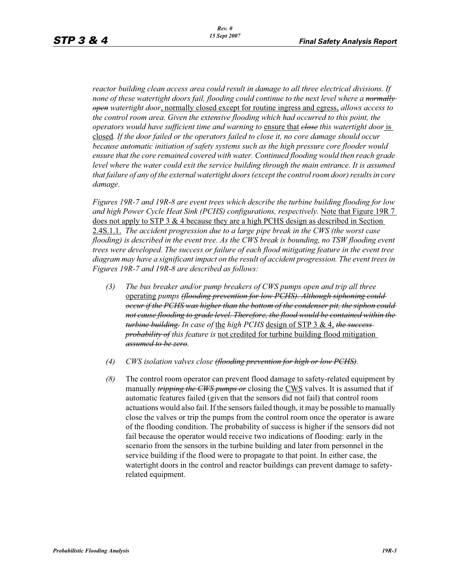*reactor building clean access area could result in damage to all three electrical divisions. If none of these watertight doors fail, flooding could continue to the next level where a normally open watertight door*, normally closed except for routine ingress and egress, *allows access to the control room area. Given the extensive flooding which had occurred to this point, the operators would have sufficient time and warning to* ensure that *close this watertight door* is closed*. If the door failed or the operators failed to close it, no core damage should occur because automatic initiation of safety systems such as the high pressure core flooder would ensure that the core remained covered with water. Continued flooding would then reach grade*  level where the water could exit the service building through the main entrance. It is assumed *that failure of any of the external watertight doors (except the control room door) results in core damage.*

*Figures 19R-7 and 19R-8 are event trees which describe the turbine building flooding for low and high Power Cycle Heat Sink (PCHS) configurations, respectively.* Note that Figure 19R 7 does not apply to STP 3 & 4 because they are a high PCHS design as described in Section 2.4S.1.1. *The accident progression due to a large pipe break in the CWS (the worst case flooding) is described in the event tree. As the CWS break is bounding, no TSW flooding event trees were developed. The success or failure of each flood mitigating feature in the event tree diagram may have a significant impact on the result of accident progression. The event trees in Figures 19R-7 and 19R-8 are described as follows:*

- *(3) The bus breaker and/or pump breakers of CWS pumps open and trip all three*  operating *pumps (flooding prevention for low PCHS). Although siphoning could occur if the PCHS was higher than the bottom of the condenser pit, the siphon could not cause flooding to grade level. Therefore, the flood would be contained within the turbine building. In case of* the *high PCHS* design of STP 3 & 4, *the success probability of this feature is* not credited for turbine building flood mitigation *assumed to be zero.*
- *(4) CWS isolation valves close (flooding prevention for high or low PCHS).*
- *(8)* The control room operator can prevent flood damage to safety-related equipment by manually *tripping the CWS pumps or* closing the CWS valves. It is assumed that if automatic features failed (given that the sensors did not fail) that control room actuations would also fail. If the sensors failed though, it may be possible to manually close the valves or trip the pumps from the control room once the operator is aware of the flooding condition. The probability of success is higher if the sensors did not fail because the operator would receive two indications of flooding: early in the scenario from the sensors in the turbine building and later from personnel in the service building if the flood were to propagate to that point. In either case, the watertight doors in the control and reactor buildings can prevent damage to safetyrelated equipment.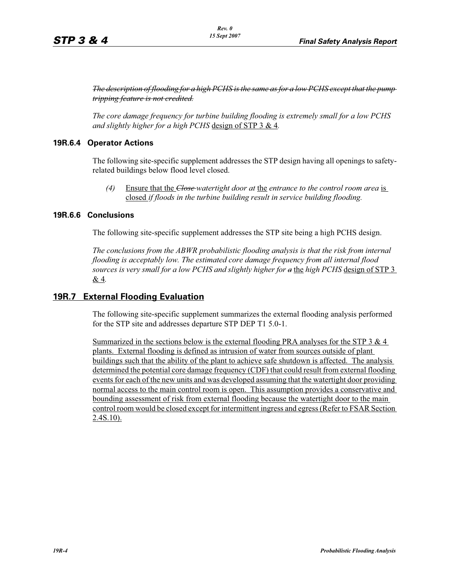*The description of flooding for a high PCHS is the same as for a low PCHS except that the pump tripping feature is not credited.*

*The core damage frequency for turbine building flooding is extremely small for a low PCHS and slightly higher for a high PCHS* design of STP 3 & 4*.*

# **19R.6.4 Operator Actions**

The following site-specific supplement addresses the STP design having all openings to safetyrelated buildings below flood level closed.

*(4)* Ensure that the *Close watertight door at* the *entrance to the control room area* is closed *if floods in the turbine building result in service building flooding.*

#### **19R.6.6 Conclusions**

The following site-specific supplement addresses the STP site being a high PCHS design.

*The conclusions from the ABWR probabilistic flooding analysis is that the risk from internal flooding is acceptably low. The estimated core damage frequency from all internal flood sources is very small for a low PCHS and slightly higher for a* the *high PCHS* design of STP 3 & 4*.*

# **19R.7 External Flooding Evaluation**

The following site-specific supplement summarizes the external flooding analysis performed for the STP site and addresses departure STP DEP T1 5.0-1.

Summarized in the sections below is the external flooding PRA analyses for the STP 3  $\&$  4 plants. External flooding is defined as intrusion of water from sources outside of plant buildings such that the ability of the plant to achieve safe shutdown is affected. The analysis determined the potential core damage frequency (CDF) that could result from external flooding events for each of the new units and was developed assuming that the watertight door providing normal access to the main control room is open. This assumption provides a conservative and bounding assessment of risk from external flooding because the watertight door to the main control room would be closed except for intermittent ingress and egress (Refer to FSAR Section 2.4S.10).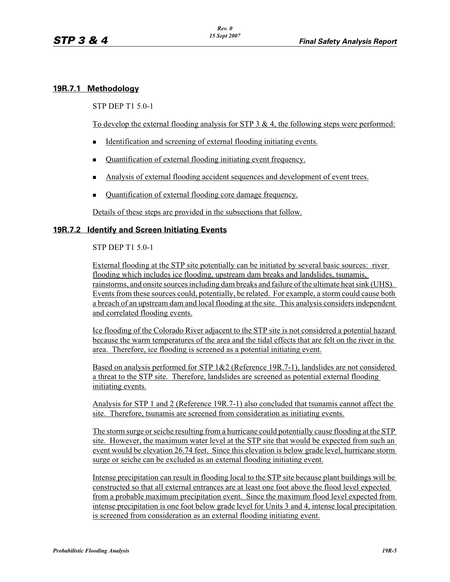# **19R.7.1 Methodology**

STP DEP T1 5.0-1

To develop the external flooding analysis for STP  $3 \& 4$ , the following steps were performed:

- -Identification and screening of external flooding initiating events.
- -Quantification of external flooding initiating event frequency.
- Analysis of external flooding accident sequences and development of event trees.
- -Quantification of external flooding core damage frequency.

Details of these steps are provided in the subsections that follow.

#### **19R.7.2 Identify and Screen Initiating Events**

STP DEP T1 5.0-1

External flooding at the STP site potentially can be initiated by several basic sources: river flooding which includes ice flooding, upstream dam breaks and landslides, tsunamis, rainstorms, and onsite sources including dam breaks and failure of the ultimate heat sink (UHS). Events from these sources could, potentially, be related. For example, a storm could cause both a breach of an upstream dam and local flooding at the site. This analysis considers independent and correlated flooding events.

Ice flooding of the Colorado River adjacent to the STP site is not considered a potential hazard because the warm temperatures of the area and the tidal effects that are felt on the river in the area. Therefore, ice flooding is screened as a potential initiating event.

Based on analysis performed for STP 1&2 (Reference 19R.7-1), landslides are not considered a threat to the STP site. Therefore, landslides are screened as potential external flooding initiating events.

Analysis for STP 1 and 2 (Reference 19R.7-1) also concluded that tsunamis cannot affect the site. Therefore, tsunamis are screened from consideration as initiating events.

The storm surge or seiche resulting from a hurricane could potentially cause flooding at the STP site. However, the maximum water level at the STP site that would be expected from such an event would be elevation 26.74 feet. Since this elevation is below grade level, hurricane storm surge or seiche can be excluded as an external flooding initiating event.

Intense precipitation can result in flooding local to the STP site because plant buildings will be constructed so that all external entrances are at least one foot above the flood level expected from a probable maximum precipitation event. Since the maximum flood level expected from intense precipitation is one foot below grade level for Units 3 and 4, intense local precipitation is screened from consideration as an external flooding initiating event.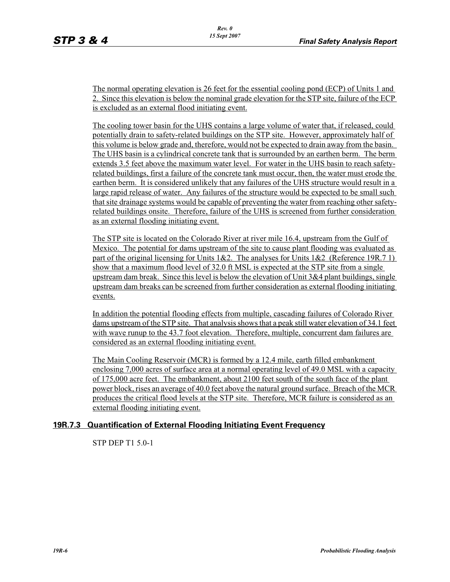The normal operating elevation is 26 feet for the essential cooling pond (ECP) of Units 1 and 2. Since this elevation is below the nominal grade elevation for the STP site, failure of the ECP is excluded as an external flood initiating event.

The cooling tower basin for the UHS contains a large volume of water that, if released, could potentially drain to safety-related buildings on the STP site. However, approximately half of this volume is below grade and, therefore, would not be expected to drain away from the basin. The UHS basin is a cylindrical concrete tank that is surrounded by an earthen berm. The berm extends 3.5 feet above the maximum water level. For water in the UHS basin to reach safetyrelated buildings, first a failure of the concrete tank must occur, then, the water must erode the earthen berm. It is considered unlikely that any failures of the UHS structure would result in a large rapid release of water. Any failures of the structure would be expected to be small such that site drainage systems would be capable of preventing the water from reaching other safetyrelated buildings onsite. Therefore, failure of the UHS is screened from further consideration as an external flooding initiating event.

The STP site is located on the Colorado River at river mile 16.4, upstream from the Gulf of Mexico. The potential for dams upstream of the site to cause plant flooding was evaluated as part of the original licensing for Units 1&2. The analyses for Units 1&2 (Reference 19R.7 1) show that a maximum flood level of 32.0 ft MSL is expected at the STP site from a single upstream dam break. Since this level is below the elevation of Unit  $3\&4$  plant buildings, single upstream dam breaks can be screened from further consideration as external flooding initiating events.

In addition the potential flooding effects from multiple, cascading failures of Colorado River dams upstream of the STP site. That analysis shows that a peak still water elevation of 34.1 feet with wave runup to the 43.7 foot elevation. Therefore, multiple, concurrent dam failures are considered as an external flooding initiating event.

The Main Cooling Reservoir (MCR) is formed by a 12.4 mile, earth filled embankment enclosing 7,000 acres of surface area at a normal operating level of 49.0 MSL with a capacity of 175,000 acre feet. The embankment, about 2100 feet south of the south face of the plant power block, rises an average of 40.0 feet above the natural ground surface. Breach of the MCR produces the critical flood levels at the STP site. Therefore, MCR failure is considered as an external flooding initiating event.

# **19R.7.3 Quantification of External Flooding Initiating Event Frequency**

STP DEP T1 5.0-1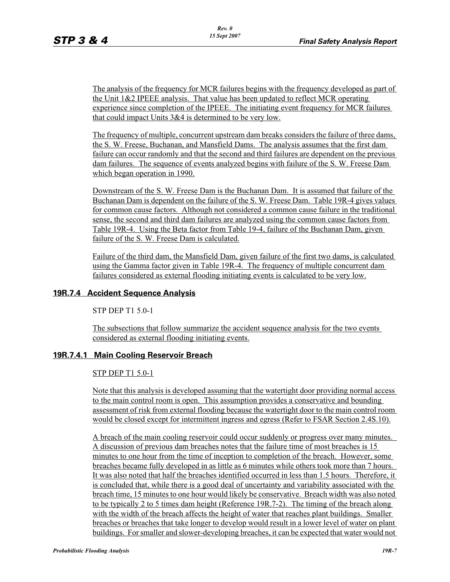The analysis of the frequency for MCR failures begins with the frequency developed as part of the Unit 1&2 IPEEE analysis. That value has been updated to reflect MCR operating experience since completion of the IPEEE. The initiating event frequency for MCR failures that could impact Units 3&4 is determined to be very low.

The frequency of multiple, concurrent upstream dam breaks considers the failure of three dams, the S. W. Freese, Buchanan, and Mansfield Dams. The analysis assumes that the first dam failure can occur randomly and that the second and third failures are dependent on the previous dam failures. The sequence of events analyzed begins with failure of the S. W. Freese Dam which began operation in 1990.

Downstream of the S. W. Freese Dam is the Buchanan Dam. It is assumed that failure of the Buchanan Dam is dependent on the failure of the S. W. Freese Dam. Table 19R-4 gives values for common cause factors. Although not considered a common cause failure in the traditional sense, the second and third dam failures are analyzed using the common cause factors from Table 19R-4. Using the Beta factor from Table 19-4, failure of the Buchanan Dam, given failure of the S. W. Freese Dam is calculated.

Failure of the third dam, the Mansfield Dam, given failure of the first two dams, is calculated using the Gamma factor given in Table 19R-4. The frequency of multiple concurrent dam failures considered as external flooding initiating events is calculated to be very low.

# **19R.7.4 Accident Sequence Analysis**

STP DEP T1 5.0-1

The subsections that follow summarize the accident sequence analysis for the two events considered as external flooding initiating events.

# **19R.7.4.1 Main Cooling Reservoir Breach**

#### STP DEP T1 5.0-1

Note that this analysis is developed assuming that the watertight door providing normal access to the main control room is open. This assumption provides a conservative and bounding assessment of risk from external flooding because the watertight door to the main control room would be closed except for intermittent ingress and egress (Refer to FSAR Section 2.4S.10).

A breach of the main cooling reservoir could occur suddenly or progress over many minutes. A discussion of previous dam breaches notes that the failure time of most breaches is 15 minutes to one hour from the time of inception to completion of the breach. However, some breaches became fully developed in as little as 6 minutes while others took more than 7 hours. It was also noted that half the breaches identified occurred in less than 1.5 hours. Therefore, it is concluded that, while there is a good deal of uncertainty and variability associated with the breach time, 15 minutes to one hour would likely be conservative. Breach width was also noted to be typically 2 to 5 times dam height (Reference 19R.7-2). The timing of the breach along with the width of the breach affects the height of water that reaches plant buildings. Smaller breaches or breaches that take longer to develop would result in a lower level of water on plant buildings. For smaller and slower-developing breaches, it can be expected that water would not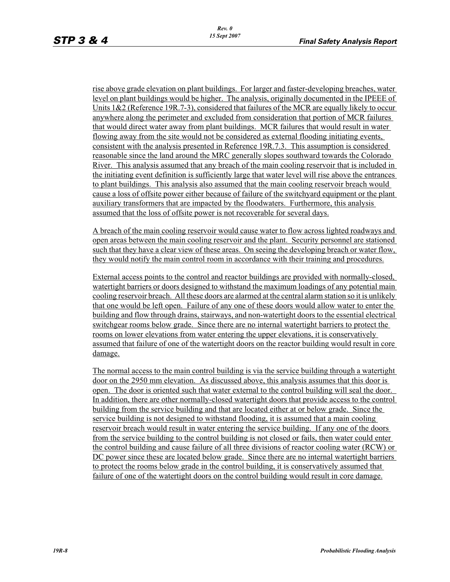rise above grade elevation on plant buildings. For larger and faster-developing breaches, water level on plant buildings would be higher. The analysis, originally documented in the IPEEE of Units  $1&2$  (Reference 19R.7-3), considered that failures of the MCR are equally likely to occur anywhere along the perimeter and excluded from consideration that portion of MCR failures that would direct water away from plant buildings. MCR failures that would result in water flowing away from the site would not be considered as external flooding initiating events, consistent with the analysis presented in Reference 19R.7.3. This assumption is considered reasonable since the land around the MRC generally slopes southward towards the Colorado River. This analysis assumed that any breach of the main cooling reservoir that is included in the initiating event definition is sufficiently large that water level will rise above the entrances to plant buildings. This analysis also assumed that the main cooling reservoir breach would cause a loss of offsite power either because of failure of the switchyard equipment or the plant auxiliary transformers that are impacted by the floodwaters. Furthermore, this analysis assumed that the loss of offsite power is not recoverable for several days.

A breach of the main cooling reservoir would cause water to flow across lighted roadways and open areas between the main cooling reservoir and the plant. Security personnel are stationed such that they have a clear view of these areas. On seeing the developing breach or water flow, they would notify the main control room in accordance with their training and procedures.

External access points to the control and reactor buildings are provided with normally-closed, watertight barriers or doors designed to withstand the maximum loadings of any potential main cooling reservoir breach. All these doors are alarmed at the central alarm station so it is unlikely that one would be left open. Failure of any one of these doors would allow water to enter the building and flow through drains, stairways, and non-watertight doors to the essential electrical switchgear rooms below grade. Since there are no internal watertight barriers to protect the rooms on lower elevations from water entering the upper elevations, it is conservatively assumed that failure of one of the watertight doors on the reactor building would result in core damage.

The normal access to the main control building is via the service building through a watertight door on the 2950 mm elevation. As discussed above, this analysis assumes that this door is open. The door is oriented such that water external to the control building will seal the door. In addition, there are other normally-closed watertight doors that provide access to the control building from the service building and that are located either at or below grade. Since the service building is not designed to withstand flooding, it is assumed that a main cooling reservoir breach would result in water entering the service building. If any one of the doors from the service building to the control building is not closed or fails, then water could enter the control building and cause failure of all three divisions of reactor cooling water (RCW) or DC power since these are located below grade. Since there are no internal watertight barriers to protect the rooms below grade in the control building, it is conservatively assumed that failure of one of the watertight doors on the control building would result in core damage.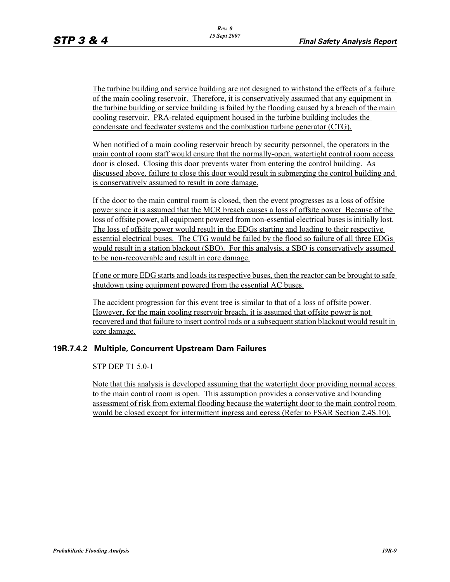The turbine building and service building are not designed to withstand the effects of a failure of the main cooling reservoir. Therefore, it is conservatively assumed that any equipment in the turbine building or service building is failed by the flooding caused by a breach of the main cooling reservoir. PRA-related equipment housed in the turbine building includes the condensate and feedwater systems and the combustion turbine generator (CTG).

When notified of a main cooling reservoir breach by security personnel, the operators in the main control room staff would ensure that the normally-open, watertight control room access door is closed. Closing this door prevents water from entering the control building. As discussed above, failure to close this door would result in submerging the control building and is conservatively assumed to result in core damage.

If the door to the main control room is closed, then the event progresses as a loss of offsite power since it is assumed that the MCR breach causes a loss of offsite power Because of the loss of offsite power, all equipment powered from non-essential electrical buses is initially lost. The loss of offsite power would result in the EDGs starting and loading to their respective essential electrical buses. The CTG would be failed by the flood so failure of all three EDGs would result in a station blackout (SBO). For this analysis, a SBO is conservatively assumed to be non-recoverable and result in core damage.

If one or more EDG starts and loads its respective buses, then the reactor can be brought to safe shutdown using equipment powered from the essential AC buses.

The accident progression for this event tree is similar to that of a loss of offsite power. However, for the main cooling reservoir breach, it is assumed that offsite power is not recovered and that failure to insert control rods or a subsequent station blackout would result in core damage.

# **19R.7.4.2 Multiple, Concurrent Upstream Dam Failures**

STP DEP T1 5.0-1

Note that this analysis is developed assuming that the watertight door providing normal access to the main control room is open. This assumption provides a conservative and bounding assessment of risk from external flooding because the watertight door to the main control room would be closed except for intermittent ingress and egress (Refer to FSAR Section 2.4S.10).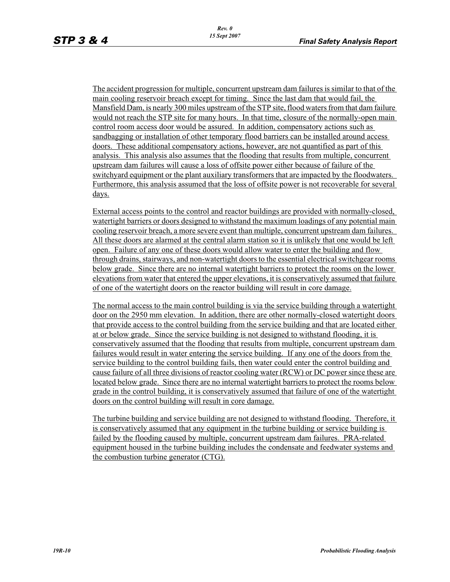The accident progression for multiple, concurrent upstream dam failures is similar to that of the main cooling reservoir breach except for timing. Since the last dam that would fail, the Mansfield Dam, is nearly 300 miles upstream of the STP site, flood waters from that dam failure would not reach the STP site for many hours. In that time, closure of the normally-open main control room access door would be assured. In addition, compensatory actions such as sandbagging or installation of other temporary flood barriers can be installed around access doors. These additional compensatory actions, however, are not quantified as part of this analysis. This analysis also assumes that the flooding that results from multiple, concurrent upstream dam failures will cause a loss of offsite power either because of failure of the switchyard equipment or the plant auxiliary transformers that are impacted by the floodwaters. Furthermore, this analysis assumed that the loss of offsite power is not recoverable for several days.

External access points to the control and reactor buildings are provided with normally-closed, watertight barriers or doors designed to withstand the maximum loadings of any potential main cooling reservoir breach, a more severe event than multiple, concurrent upstream dam failures. All these doors are alarmed at the central alarm station so it is unlikely that one would be left open. Failure of any one of these doors would allow water to enter the building and flow through drains, stairways, and non-watertight doors to the essential electrical switchgear rooms below grade. Since there are no internal watertight barriers to protect the rooms on the lower elevations from water that entered the upper elevations, it is conservatively assumed that failure of one of the watertight doors on the reactor building will result in core damage.

The normal access to the main control building is via the service building through a watertight door on the 2950 mm elevation. In addition, there are other normally-closed watertight doors that provide access to the control building from the service building and that are located either at or below grade. Since the service building is not designed to withstand flooding, it is conservatively assumed that the flooding that results from multiple, concurrent upstream dam failures would result in water entering the service building. If any one of the doors from the service building to the control building fails, then water could enter the control building and cause failure of all three divisions of reactor cooling water (RCW) or DC power since these are located below grade. Since there are no internal watertight barriers to protect the rooms below grade in the control building, it is conservatively assumed that failure of one of the watertight doors on the control building will result in core damage.

The turbine building and service building are not designed to withstand flooding. Therefore, it is conservatively assumed that any equipment in the turbine building or service building is failed by the flooding caused by multiple, concurrent upstream dam failures. PRA-related equipment housed in the turbine building includes the condensate and feedwater systems and the combustion turbine generator (CTG).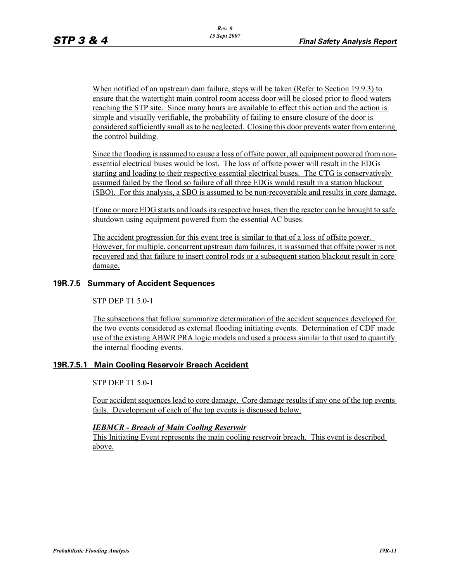When notified of an upstream dam failure, steps will be taken (Refer to Section 19.9.3) to ensure that the watertight main control room access door will be closed prior to flood waters reaching the STP site. Since many hours are available to effect this action and the action is simple and visually verifiable, the probability of failing to ensure closure of the door is considered sufficiently small as to be neglected. Closing this door prevents water from entering the control building.

Since the flooding is assumed to cause a loss of offsite power, all equipment powered from nonessential electrical buses would be lost. The loss of offsite power will result in the EDGs starting and loading to their respective essential electrical buses. The CTG is conservatively assumed failed by the flood so failure of all three EDGs would result in a station blackout (SBO). For this analysis, a SBO is assumed to be non-recoverable and results in core damage.

If one or more EDG starts and loads its respective buses, then the reactor can be brought to safe shutdown using equipment powered from the essential AC buses.

The accident progression for this event tree is similar to that of a loss of offsite power. However, for multiple, concurrent upstream dam failures, it is assumed that offsite power is not recovered and that failure to insert control rods or a subsequent station blackout result in core damage.

## **19R.7.5 Summary of Accident Sequences**

STP DEP T1 5.0-1

The subsections that follow summarize determination of the accident sequences developed for the two events considered as external flooding initiating events. Determination of CDF made use of the existing ABWR PRA logic models and used a process similar to that used to quantify the internal flooding events.

#### **19R.7.5.1 Main Cooling Reservoir Breach Accident**

STP DEP T1 5.0-1

Four accident sequences lead to core damage. Core damage results if any one of the top events fails. Development of each of the top events is discussed below.

#### *IEBMCR - Breach of Main Cooling Reservoir*

This Initiating Event represents the main cooling reservoir breach. This event is described above.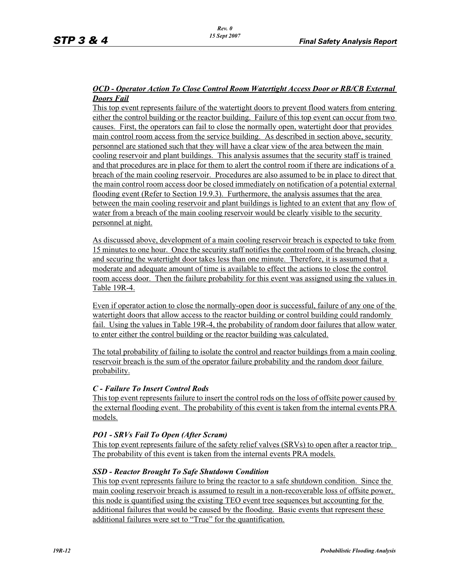## *OCD - Operator Action To Close Control Room Watertight Access Door or RB/CB External Doors Fail*

This top event represents failure of the watertight doors to prevent flood waters from entering either the control building or the reactor building. Failure of this top event can occur from two causes. First, the operators can fail to close the normally open, watertight door that provides main control room access from the service building. As described in section above, security personnel are stationed such that they will have a clear view of the area between the main cooling reservoir and plant buildings. This analysis assumes that the security staff is trained and that procedures are in place for them to alert the control room if there are indications of a breach of the main cooling reservoir. Procedures are also assumed to be in place to direct that the main control room access door be closed immediately on notification of a potential external flooding event (Refer to Section 19.9.3). Furthermore, the analysis assumes that the area between the main cooling reservoir and plant buildings is lighted to an extent that any flow of water from a breach of the main cooling reservoir would be clearly visible to the security personnel at night.

As discussed above, development of a main cooling reservoir breach is expected to take from 15 minutes to one hour. Once the security staff notifies the control room of the breach, closing and securing the watertight door takes less than one minute. Therefore, it is assumed that a moderate and adequate amount of time is available to effect the actions to close the control room access door. Then the failure probability for this event was assigned using the values in Table 19R-4.

Even if operator action to close the normally-open door is successful, failure of any one of the watertight doors that allow access to the reactor building or control building could randomly fail. Using the values in Table 19R-4, the probability of random door failures that allow water to enter either the control building or the reactor building was calculated.

The total probability of failing to isolate the control and reactor buildings from a main cooling reservoir breach is the sum of the operator failure probability and the random door failure probability.

#### *C - Failure To Insert Control Rods*

This top event represents failure to insert the control rods on the loss of offsite power caused by the external flooding event. The probability of this event is taken from the internal events PRA models.

#### *PO1 - SRVs Fail To Open (After Scram)*

This top event represents failure of the safety relief valves (SRVs) to open after a reactor trip. The probability of this event is taken from the internal events PRA models.

#### *SSD - Reactor Brought To Safe Shutdown Condition*

This top event represents failure to bring the reactor to a safe shutdown condition. Since the main cooling reservoir breach is assumed to result in a non-recoverable loss of offsite power, this node is quantified using the existing TEO event tree sequences but accounting for the additional failures that would be caused by the flooding. Basic events that represent these additional failures were set to "True" for the quantification.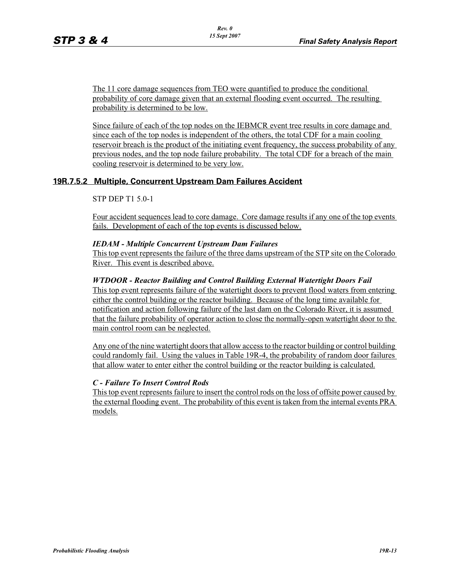The 11 core damage sequences from TEO were quantified to produce the conditional probability of core damage given that an external flooding event occurred. The resulting probability is determined to be low.

Since failure of each of the top nodes on the IEBMCR event tree results in core damage and since each of the top nodes is independent of the others, the total CDF for a main cooling reservoir breach is the product of the initiating event frequency, the success probability of any previous nodes, and the top node failure probability. The total CDF for a breach of the main cooling reservoir is determined to be very low.

# **19R.7.5.2 Multiple, Concurrent Upstream Dam Failures Accident**

#### STP DEP T1 5.0-1

Four accident sequences lead to core damage. Core damage results if any one of the top events fails. Development of each of the top events is discussed below.

#### *IEDAM - Multiple Concurrent Upstream Dam Failures*

This top event represents the failure of the three dams upstream of the STP site on the Colorado River. This event is described above.

#### *WTDOOR - Reactor Building and Control Building External Watertight Doors Fail*

This top event represents failure of the watertight doors to prevent flood waters from entering either the control building or the reactor building. Because of the long time available for notification and action following failure of the last dam on the Colorado River, it is assumed that the failure probability of operator action to close the normally-open watertight door to the main control room can be neglected.

Any one of the nine watertight doors that allow access to the reactor building or control building could randomly fail. Using the values in Table 19R-4, the probability of random door failures that allow water to enter either the control building or the reactor building is calculated.

#### *C - Failure To Insert Control Rods*

This top event represents failure to insert the control rods on the loss of offsite power caused by the external flooding event. The probability of this event is taken from the internal events PRA models.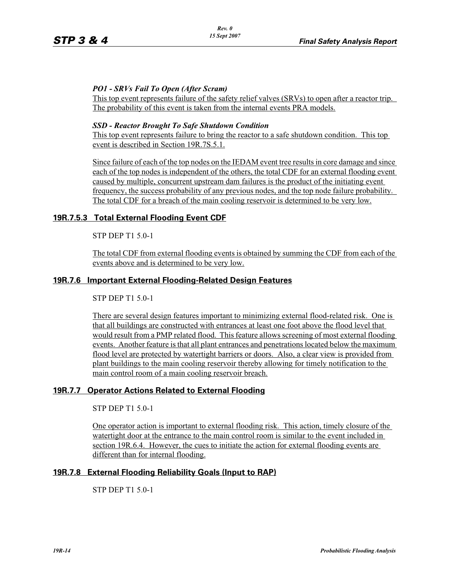# *PO1 - SRVs Fail To Open (After Scram)*

This top event represents failure of the safety relief valves (SRVs) to open after a reactor trip. The probability of this event is taken from the internal events PRA models.

## *SSD - Reactor Brought To Safe Shutdown Condition*

This top event represents failure to bring the reactor to a safe shutdown condition. This top event is described in Section 19R.7S.5.1.

Since failure of each of the top nodes on the IEDAM event tree results in core damage and since each of the top nodes is independent of the others, the total CDF for an external flooding event caused by multiple, concurrent upstream dam failures is the product of the initiating event frequency, the success probability of any previous nodes, and the top node failure probability. The total CDF for a breach of the main cooling reservoir is determined to be very low.

# **19R.7.5.3 Total External Flooding Event CDF**

STP DEP T1 5.0-1

The total CDF from external flooding events is obtained by summing the CDF from each of the events above and is determined to be very low.

# **19R.7.6 Important External Flooding-Related Design Features**

STP DEP T1 5.0-1

There are several design features important to minimizing external flood-related risk. One is that all buildings are constructed with entrances at least one foot above the flood level that would result from a PMP related flood. This feature allows screening of most external flooding events. Another feature is that all plant entrances and penetrations located below the maximum flood level are protected by watertight barriers or doors. Also, a clear view is provided from plant buildings to the main cooling reservoir thereby allowing for timely notification to the main control room of a main cooling reservoir breach.

# **19R.7.7 Operator Actions Related to External Flooding**

STP DEP T1 5.0-1

One operator action is important to external flooding risk. This action, timely closure of the watertight door at the entrance to the main control room is similar to the event included in section 19R.6.4. However, the cues to initiate the action for external flooding events are different than for internal flooding.

# **19R.7.8 External Flooding Reliability Goals (Input to RAP)**

STP DEP T1 5.0-1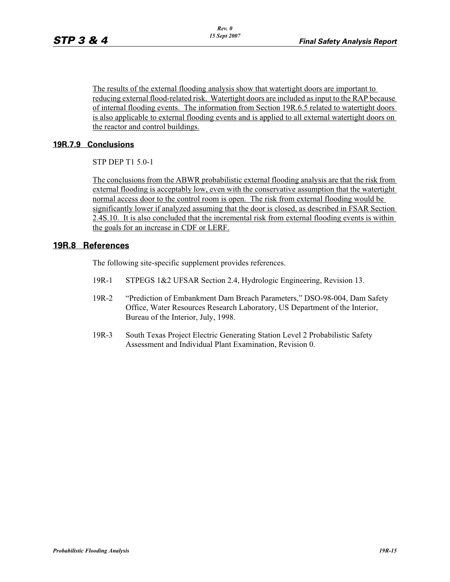The results of the external flooding analysis show that watertight doors are important to reducing external flood-related risk. Watertight doors are included as input to the RAP because of internal flooding events. The information from Section 19R.6.5 related to watertight doors is also applicable to external flooding events and is applied to all external watertight doors on the reactor and control buildings.

# **19R.7.9 Conclusions**

STP DEP T1 5.0-1

The conclusions from the ABWR probabilistic external flooding analysis are that the risk from external flooding is acceptably low, even with the conservative assumption that the watertight normal access door to the control room is open. The risk from external flooding would be significantly lower if analyzed assuming that the door is closed, as described in FSAR Section 2.4S.10. It is also concluded that the incremental risk from external flooding events is within the goals for an increase in CDF or LERF.

# **19R.8 References**

The following site-specific supplement provides references.

- 19R-1 STPEGS 1&2 UFSAR Section 2.4, Hydrologic Engineering, Revision 13.
- 19R-2 "Prediction of Embankment Dam Breach Parameters," DSO-98-004, Dam Safety Office, Water Resources Research Laboratory, US Department of the Interior, Bureau of the Interior, July, 1998.
- 19R-3 South Texas Project Electric Generating Station Level 2 Probabilistic Safety Assessment and Individual Plant Examination, Revision 0.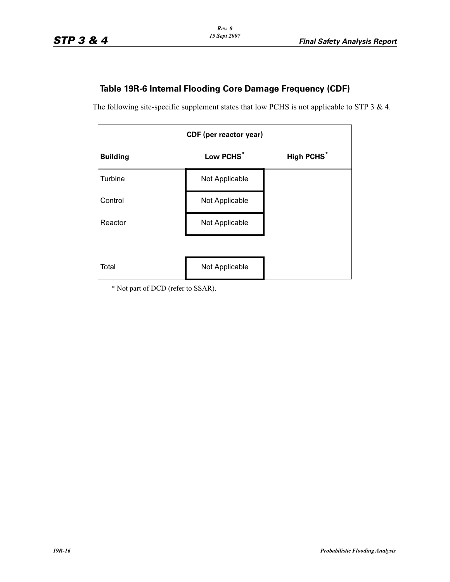# **Table 19R-6 Internal Flooding Core Damage Frequency (CDF)**

The following site-specific supplement states that low PCHS is not applicable to STP 3 & 4.

| <b>CDF</b> (per reactor year) |                |                              |
|-------------------------------|----------------|------------------------------|
| <b>Building</b>               | Low PCHS*      | <b>High PCHS<sup>*</sup></b> |
| Turbine                       | Not Applicable |                              |
| Control                       | Not Applicable |                              |
| Reactor                       | Not Applicable |                              |
|                               |                |                              |
| Total                         | Not Applicable |                              |

\* Not part of DCD (refer to SSAR).

*19R-16 Probabilistic Flooding Analysis*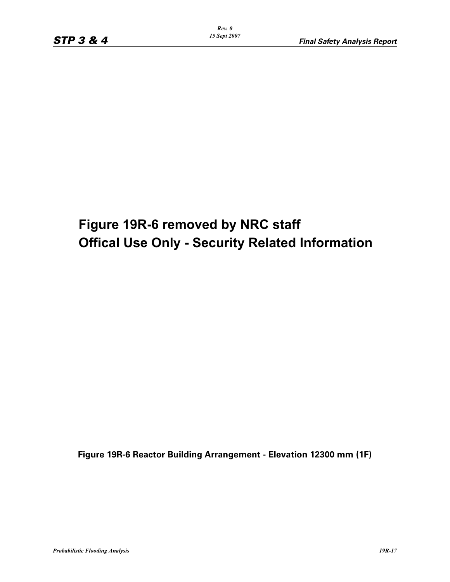# **Figure 19R-6 removed by NRC staff Offical Use Only - Security Related Information**

**Figure 19R-6 Reactor Building Arrangement - Elevation 12300 mm (1F)**